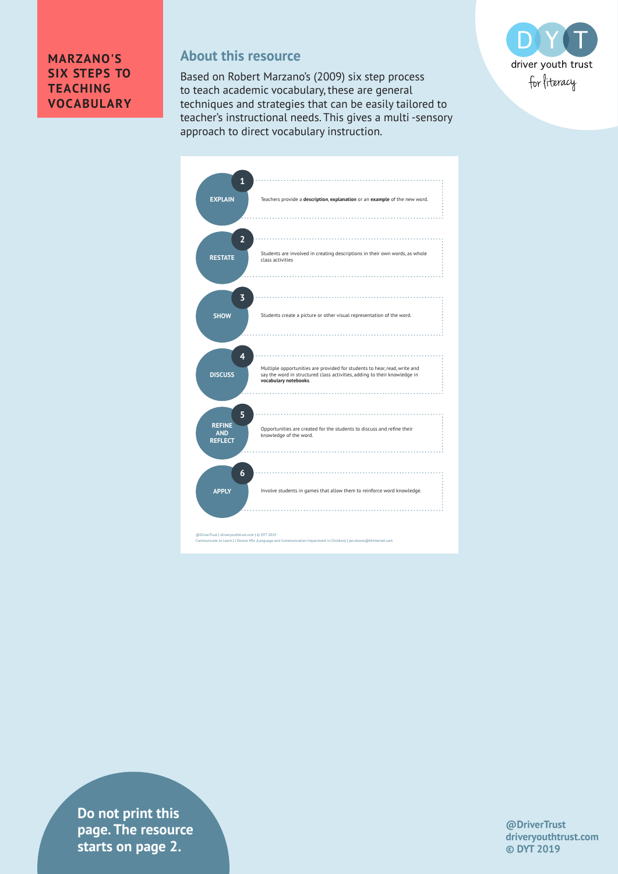## **MARZANO'S SIX STEPS TO TEACHING VOCABULARY**

## **About this resource**

Based on Robert Marzano's (2009) six step process to teach academic vocabulary, these are general techniques and strategies that can be easily tailored to teacher's instructional needs. This gives a multi -sensory approach to direct vocabulary instruction.



| $\mathbf{1}$                 |                                                                                                                                                                                 |
|------------------------------|---------------------------------------------------------------------------------------------------------------------------------------------------------------------------------|
| <b>EXPLAIN</b>               | Teachers provide a description, explanation or an example of the new word.                                                                                                      |
|                              |                                                                                                                                                                                 |
| $\overline{2}$               |                                                                                                                                                                                 |
| <b>RESTATE</b>               | Students are involved in creating descriptions in their own words, as whole<br>class activities                                                                                 |
|                              |                                                                                                                                                                                 |
| 3                            | .                                                                                                                                                                               |
| <b>SHOW</b>                  | Students create a picture or other visual representation of the word.                                                                                                           |
|                              |                                                                                                                                                                                 |
| 4                            | .                                                                                                                                                                               |
| <b>DISCUSS</b>               | Multiple opportunities are provided for students to hear, read, write and<br>say the word in structured class activities, adding to their knowledge in<br>vocabulary notebooks. |
|                              |                                                                                                                                                                                 |
| 5<br><b>REFINE</b>           | .                                                                                                                                                                               |
| <b>AND</b><br><b>REFLECT</b> | Opportunities are created for the students to discuss and refine their<br>knowledge of the word.                                                                                |
|                              |                                                                                                                                                                                 |
| 6                            | .                                                                                                                                                                               |
| <b>APPLY</b>                 | Involve students in games that allow them to reinforce word knowledge.                                                                                                          |
|                              |                                                                                                                                                                                 |

**Priver is a griver page. The resource**  $\blacksquare$ **Communicate to Learn Impairment in Communication Impairment in Children) | jan.downs and Communication Impairment in Children (Communication Impairment in Children) | jan.downs.com | jan.downs.com | jan.downs.com | jan.do Do not print this** 

**@DriverTrust driveryouthtrust.com © DYT 2019**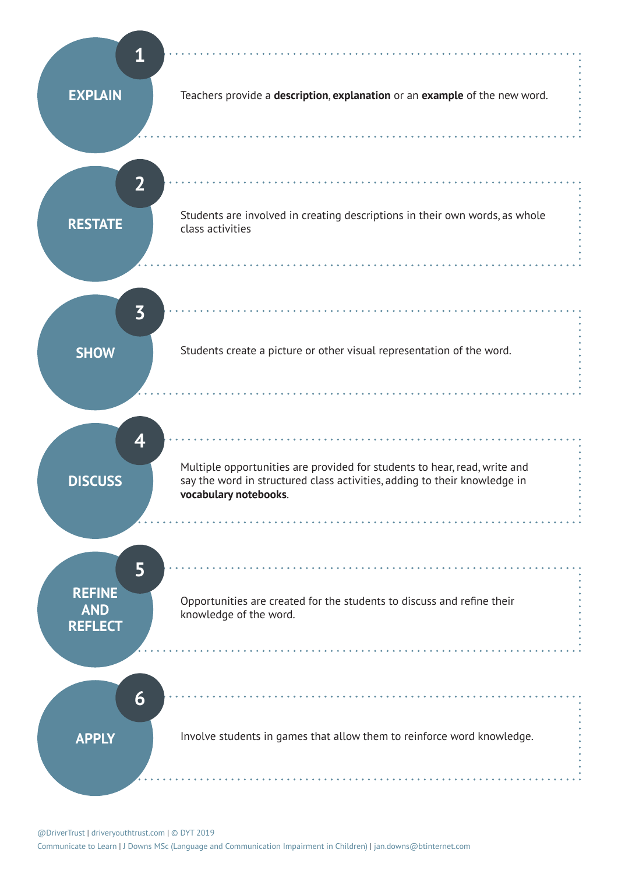